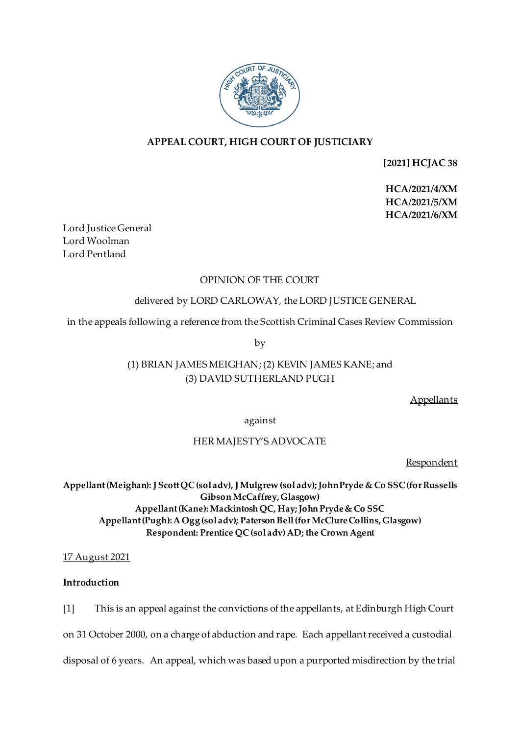

# **APPEAL COURT, HIGH COURT OF JUSTICIARY**

**[2021] HCJAC 38**

**HCA/2021/4/XM HCA/2021/5/XM HCA/2021/6/XM**

Lord Justice General Lord Woolman Lord Pentland

# OPINION OF THE COURT

# delivered by LORD CARLOWAY, the LORD JUSTICE GENERAL

in the appeals following a reference from the Scottish Criminal Cases Review Commission

by

# (1) BRIAN JAMES MEIGHAN; (2) KEVIN JAMES KANE; and (3) DAVID SUTHERLAND PUGH

**Appellants** 

against

# HER MAJESTY'S ADVOCATE

Respondent

**Appellant(Meighan): J Scott QC(sol adv), J Mulgrew (sol adv); John Pryde & Co SSC (for Russells Gibson McCaffrey, Glasgow) Appellant (Kane):Mackintosh QC, Hay; John Pryde & Co SSC Appellant (Pugh): A Ogg (sol adv); Paterson Bell (for McClure Collins, Glasgow) Respondent: Prentice QC(sol adv)AD; the Crown Agent**

17 August 2021

## **Introduction**

[1] This is an appeal against the convictions of the appellants, at Edinburgh High Court

on 31 October 2000, on a charge of abduction and rape. Each appellant received a custodial

disposal of 6 years. An appeal, which was based upon a purported misdirection by the trial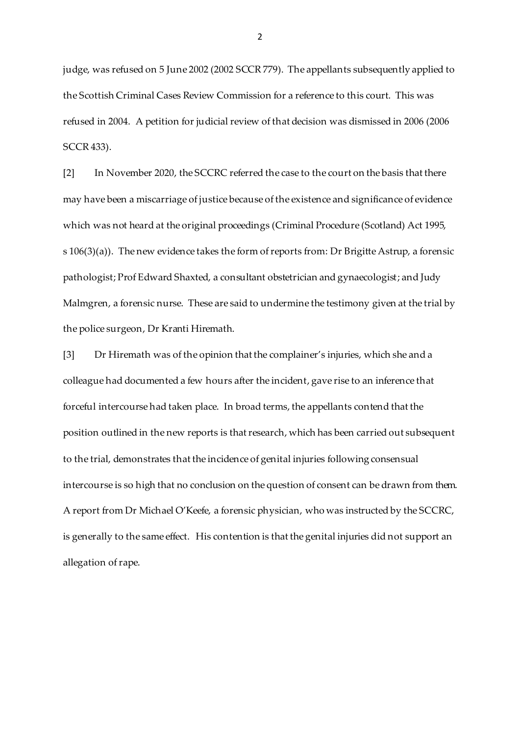judge, was refused on 5 June 2002 (2002 SCCR 779). The appellants subsequently applied to the Scottish Criminal Cases Review Commission for a reference to this court. This was refused in 2004. A petition for judicial review of that decision was dismissed in 2006 (2006 SCCR 433).

[2] In November 2020, the SCCRC referred the case to the court on the basis that there may have been a miscarriage of justice because of the existence and significance of evidence which was not heard at the original proceedings (Criminal Procedure (Scotland) Act 1995, s 106(3)(a)). The new evidence takes the form of reports from: Dr Brigitte Astrup, a forensic pathologist; Prof Edward Shaxted, a consultant obstetrician and gynaecologist; and Judy Malmgren, a forensic nurse. These are said to undermine the testimony given at the trial by the police surgeon, Dr Kranti Hiremath.

[3] Dr Hiremath was of the opinion that the complainer's injuries, which she and a colleague had documented a few hours after the incident, gave rise to an inference that forceful intercourse had taken place. In broad terms, the appellants contend that the position outlined in the new reports is that research, which has been carried out subsequent to the trial, demonstrates that the incidence of genital injuries following consensual intercourse is so high that no conclusion on the question of consent can be drawn from them. A report from Dr Michael O'Keefe, a forensic physician, who was instructed by the SCCRC, is generally to the same effect. His contention is that the genital injuries did not support an allegation of rape.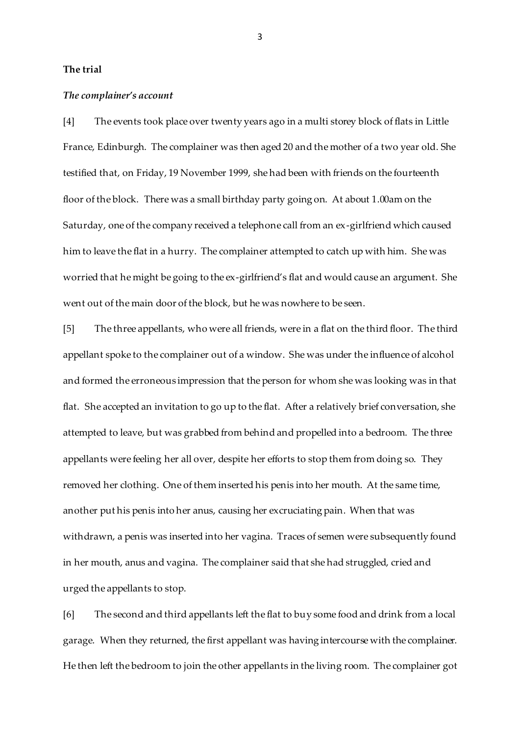### **The trial**

#### *The complainer's account*

[4] The events took place over twenty years ago in a multi storey block of flats in Little France, Edinburgh. The complainer was then aged 20 and the mother of a two year old. She testified that, on Friday, 19 November 1999, she had been with friends on the fourteenth floor of the block. There was a small birthday party going on. At about 1.00am on the Saturday, one of the company received a telephone call from an ex-girlfriend which caused him to leave the flat in a hurry. The complainer attempted to catch up with him. She was worried that he might be going to the ex-girlfriend's flat and would cause an argument. She went out of the main door of the block, but he was nowhere to be seen.

[5] The three appellants, who were all friends, were in a flat on the third floor. The third appellant spoke to the complainer out of a window. She was under the influence of alcohol and formed the erroneous impression that the person for whom she was looking was in that flat. She accepted an invitation to go up to the flat. After a relatively brief conversation, she attempted to leave, but was grabbed from behind and propelled into a bedroom. The three appellants were feeling her all over, despite her efforts to stop them from doing so. They removed her clothing. One of them inserted his penis into her mouth. At the same time, another put his penis into her anus, causing her excruciating pain. When that was withdrawn, a penis was inserted into her vagina. Traces of semen were subsequently found in her mouth, anus and vagina. The complainer said that she had struggled, cried and urged the appellants to stop.

[6] The second and third appellants left the flat to buy some food and drink from a local garage. When they returned, the first appellant was having intercourse with the complainer. He then left the bedroom to join the other appellants in the living room. The complainer got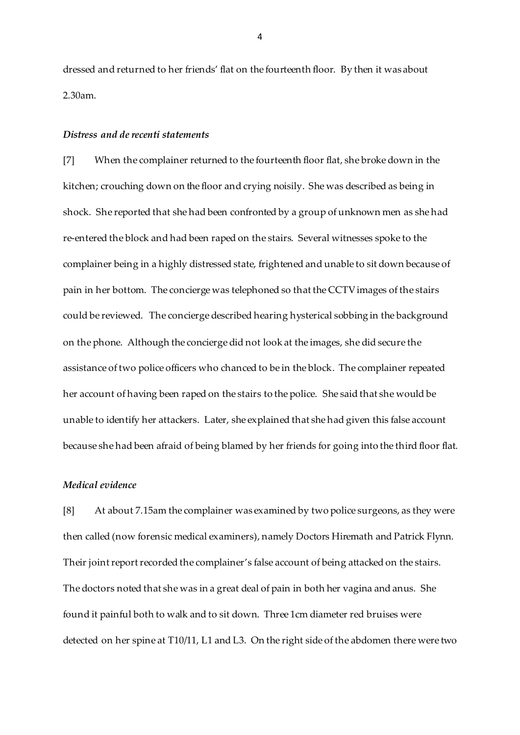dressed and returned to her friends' flat on the fourteenth floor. By then it was about 2.30am.

#### *Distress and de recenti statements*

[7] When the complainer returned to the fourteenth floor flat, she broke down in the kitchen; crouching down on the floor and crying noisily. She was described as being in shock. She reported that she had been confronted by a group of unknown men as she had re-entered the block and had been raped on the stairs. Several witnesses spoke to the complainer being in a highly distressed state, frightened and unable to sit down because of pain in her bottom. The concierge was telephoned so that the CCTV images of the stairs could be reviewed. The concierge described hearing hysterical sobbing in the background on the phone. Although the concierge did not look at the images, she did secure the assistance of two police officers who chanced to be in the block. The complainer repeated her account of having been raped on the stairs to the police. She said that she would be unable to identify her attackers. Later, she explained that she had given this false account because she had been afraid of being blamed by her friends for going into the third floor flat.

### *Medical evidence*

[8] At about 7.15am the complainer was examined by two police surgeons, as they were then called (now forensic medical examiners), namely Doctors Hiremath and Patrick Flynn. Their joint report recorded the complainer's false account of being attacked on the stairs. The doctors noted that she was in a great deal of pain in both her vagina and anus. She found it painful both to walk and to sit down. Three 1cm diameter red bruises were detected on her spine at T10/11, L1 and L3. On the right side of the abdomen there were two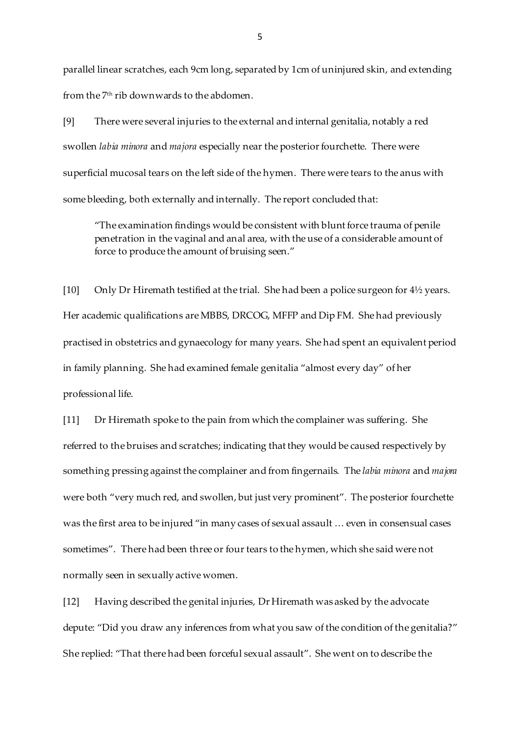parallel linear scratches, each 9cm long, separated by 1cm of uninjured skin, and extending from the 7th rib downwards to the abdomen.

[9] There were several injuries to the external and internal genitalia, notably a red swollen *labia minora* and *majora* especially near the posterior fourchette. There were superficial mucosal tears on the left side of the hymen. There were tears to the anus with some bleeding, both externally and internally. The report concluded that:

"The examination findings would be consistent with blunt force trauma of penile penetration in the vaginal and anal area, with the use of a considerable amount of force to produce the amount of bruising seen."

[10] Only Dr Hiremath testified at the trial. She had been a police surgeon for 4½ years. Her academic qualifications are MBBS, DRCOG, MFFP and Dip FM. She had previously practised in obstetrics and gynaecology for many years. She had spent an equivalent period in family planning. She had examined female genitalia "almost every day" of her professional life.

[11] Dr Hiremath spoke to the pain from which the complainer was suffering. She referred to the bruises and scratches; indicating that they would be caused respectively by something pressing against the complainer and from fingernails. The *labia minora* and *majora* were both "very much red, and swollen, but just very prominent". The posterior fourchette was the first area to be injured "in many cases of sexual assault … even in consensual cases sometimes". There had been three or four tears to the hymen, which she said were not normally seen in sexually active women.

[12] Having described the genital injuries, Dr Hiremath was asked by the advocate depute: "Did you draw any inferences from what you saw of the condition of the genitalia?" She replied: "That there had been forceful sexual assault". She went on to describe the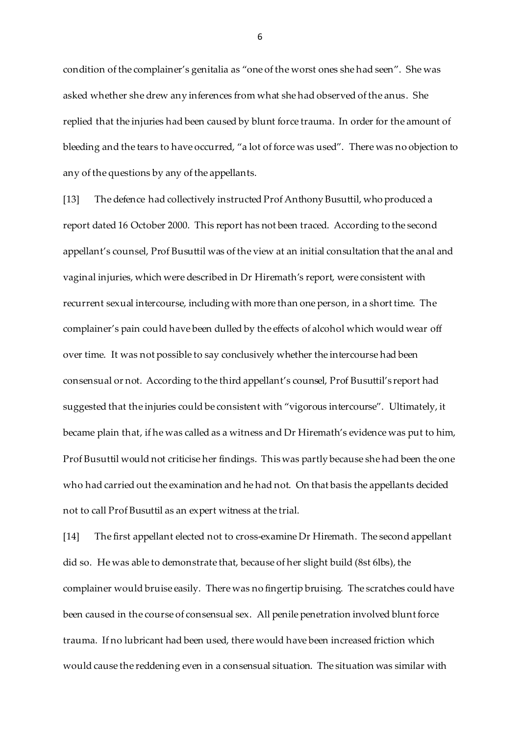condition of the complainer's genitalia as "one of the worst ones she had seen". She was asked whether she drew any inferences from what she had observed of the anus. She replied that the injuries had been caused by blunt force trauma. In order for the amount of bleeding and the tears to have occurred, "a lot of force was used". There was no objection to any of the questions by any of the appellants.

[13] The defence had collectively instructed Prof Anthony Busuttil, who produced a report dated 16 October 2000. This report has not been traced. According to the second appellant's counsel, Prof Busuttil was of the view at an initial consultation that the anal and vaginal injuries, which were described in Dr Hiremath's report, were consistent with recurrent sexual intercourse, including with more than one person, in a short time. The complainer's pain could have been dulled by the effects of alcohol which would wear off over time. It was not possible to say conclusively whether the intercourse had been consensual or not. According to the third appellant's counsel, Prof Busuttil's report had suggested that the injuries could be consistent with "vigorous intercourse". Ultimately, it became plain that, if he was called as a witness and Dr Hiremath's evidence was put to him, Prof Busuttil would not criticise her findings. This was partly because she had been the one who had carried out the examination and he had not. On that basis the appellants decided not to call Prof Busuttil as an expert witness at the trial.

[14] The first appellant elected not to cross-examine Dr Hiremath. The second appellant did so. He was able to demonstrate that, because of her slight build (8st 6lbs), the complainer would bruise easily. There was no fingertip bruising. The scratches could have been caused in the course of consensual sex. All penile penetration involved blunt force trauma. If no lubricant had been used, there would have been increased friction which would cause the reddening even in a consensual situation. The situation was similar with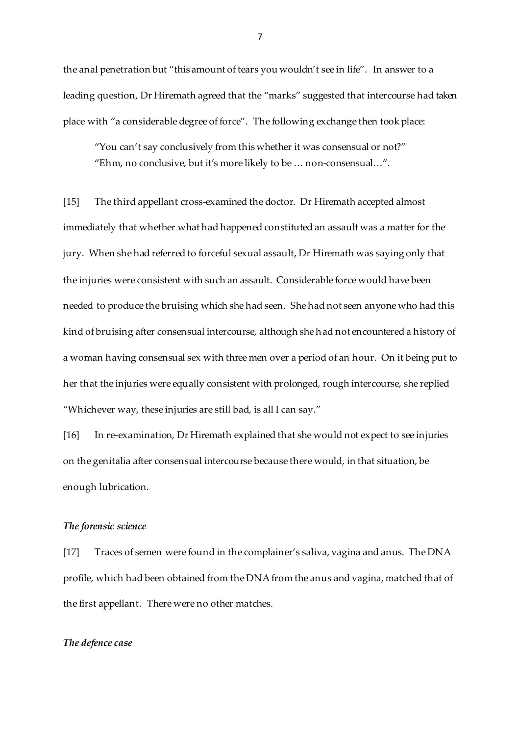the anal penetration but "this amount of tears you wouldn't see in life". In answer to a leading question, Dr Hiremath agreed that the "marks" suggested that intercourse had taken place with "a considerable degree of force". The following exchange then took place:

"You can't say conclusively from this whether it was consensual or not?" "Ehm, no conclusive, but it's more likely to be … non-consensual…".

[15] The third appellant cross-examined the doctor. Dr Hiremath accepted almost immediately that whether what had happened constituted an assault was a matter for the jury. When she had referred to forceful sexual assault, Dr Hiremath was saying only that the injuries were consistent with such an assault. Considerable force would have been needed to produce the bruising which she had seen. She had not seen anyone who had this kind of bruising after consensual intercourse, although she had not encountered a history of a woman having consensual sex with three men over a period of an hour. On it being put to her that the injuries were equally consistent with prolonged, rough intercourse, she replied "Whichever way, these injuries are still bad, is all I can say."

[16] In re-examination, Dr Hiremath explained that she would not expect to see injuries on the genitalia after consensual intercourse because there would, in that situation, be enough lubrication.

#### *The forensic science*

[17] Traces of semen were found in the complainer's saliva, vagina and anus. The DNA profile, which had been obtained from the DNA from the anus and vagina, matched that of the first appellant. There were no other matches.

#### *The defence case*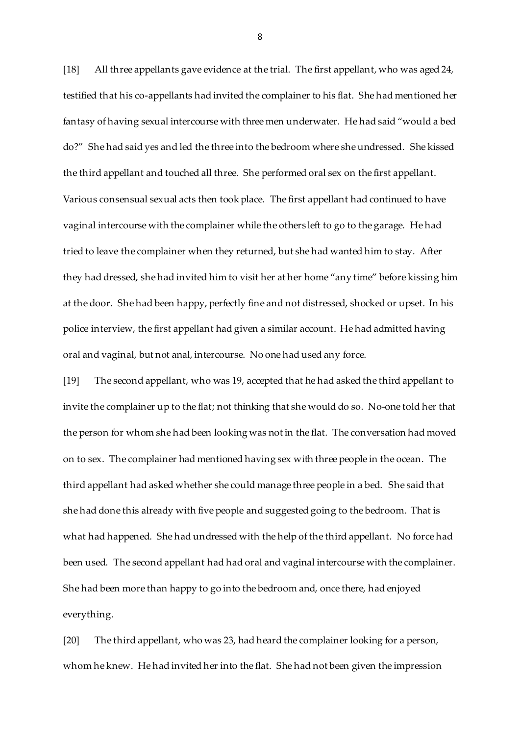[18] All three appellants gave evidence at the trial. The first appellant, who was aged 24, testified that his co-appellants had invited the complainer to his flat. She had mentioned her fantasy of having sexual intercourse with three men underwater. He had said "would a bed do?" She had said yes and led the three into the bedroom where she undressed. She kissed the third appellant and touched all three. She performed oral sex on the first appellant. Various consensual sexual acts then took place. The first appellant had continued to have vaginal intercourse with the complainer while the others left to go to the garage. He had tried to leave the complainer when they returned, but she had wanted him to stay. After they had dressed, she had invited him to visit her at her home "any time" before kissing him at the door. She had been happy, perfectly fine and not distressed, shocked or upset. In his police interview, the first appellant had given a similar account. He had admitted having oral and vaginal, but not anal, intercourse. No one had used any force.

[19] The second appellant, who was 19, accepted that he had asked the third appellant to invite the complainer up to the flat; not thinking that she would do so. No-one told her that the person for whom she had been looking was not in the flat. The conversation had moved on to sex. The complainer had mentioned having sex with three people in the ocean. The third appellant had asked whether she could manage three people in a bed. She said that she had done this already with five people and suggested going to the bedroom. That is what had happened. She had undressed with the help of the third appellant. No force had been used. The second appellant had had oral and vaginal intercourse with the complainer. She had been more than happy to go into the bedroom and, once there, had enjoyed everything.

[20] The third appellant, who was 23, had heard the complainer looking for a person, whom he knew. He had invited her into the flat. She had not been given the impression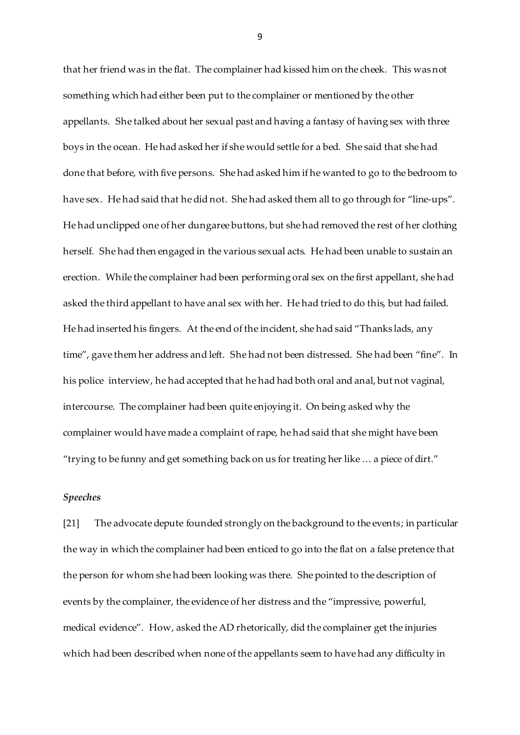that her friend was in the flat. The complainer had kissed him on the cheek. This was not something which had either been put to the complainer or mentioned by the other appellants. She talked about her sexual past and having a fantasy of having sex with three boys in the ocean. He had asked her if she would settle for a bed. She said that she had done that before, with five persons. She had asked him if he wanted to go to the bedroom to have sex. He had said that he did not. She had asked them all to go through for "line-ups". He had unclipped one of her dungaree buttons, but she had removed the rest of her clothing herself. She had then engaged in the various sexual acts. He had been unable to sustain an erection. While the complainer had been performing oral sex on the first appellant, she had asked the third appellant to have anal sex with her. He had tried to do this, but had failed. He had inserted his fingers. At the end of the incident, she had said "Thanks lads, any time", gave them her address and left. She had not been distressed. She had been "fine". In his police interview, he had accepted that he had had both oral and anal, but not vaginal, intercourse. The complainer had been quite enjoying it. On being asked why the complainer would have made a complaint of rape, he had said that she might have been "trying to be funny and get something back on us for treating her like … a piece of dirt."

#### *Speeches*

[21] The advocate depute founded strongly on the background to the events; in particular the way in which the complainer had been enticed to go into the flat on a false pretence that the person for whom she had been looking was there. She pointed to the description of events by the complainer, the evidence of her distress and the "impressive, powerful, medical evidence". How, asked the AD rhetorically, did the complainer get the injuries which had been described when none of the appellants seem to have had any difficulty in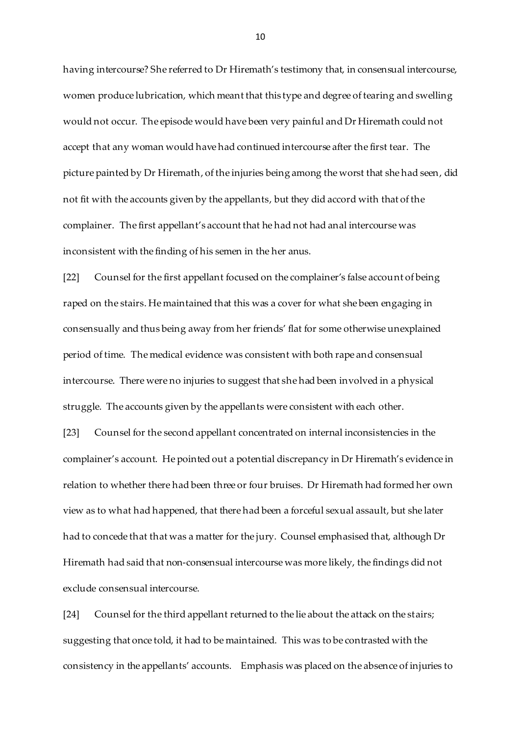having intercourse? She referred to Dr Hiremath's testimony that, in consensual intercourse, women produce lubrication, which meant that this type and degree of tearing and swelling would not occur. The episode would have been very painful and Dr Hiremath could not accept that any woman would have had continued intercourse after the first tear. The picture painted by Dr Hiremath, of the injuries being among the worst that she had seen, did not fit with the accounts given by the appellants, but they did accord with that of the complainer. The first appellant's account that he had not had anal intercourse was inconsistent with the finding of his semen in the her anus.

[22] Counsel for the first appellant focused on the complainer's false account of being raped on the stairs. He maintained that this was a cover for what she been engaging in consensually and thus being away from her friends' flat for some otherwise unexplained period of time. The medical evidence was consistent with both rape and consensual intercourse. There were no injuries to suggest that she had been involved in a physical struggle. The accounts given by the appellants were consistent with each other.

[23] Counsel for the second appellant concentrated on internal inconsistencies in the complainer's account. He pointed out a potential discrepancy in Dr Hiremath's evidence in relation to whether there had been three or four bruises. Dr Hiremath had formed her own view as to what had happened, that there had been a forceful sexual assault, but she later had to concede that that was a matter for the jury. Counsel emphasised that, although Dr Hiremath had said that non-consensual intercourse was more likely, the findings did not exclude consensual intercourse.

[24] Counsel for the third appellant returned to the lie about the attack on the stairs; suggesting that once told, it had to be maintained. This was to be contrasted with the consistency in the appellants' accounts. Emphasis was placed on the absence of injuries to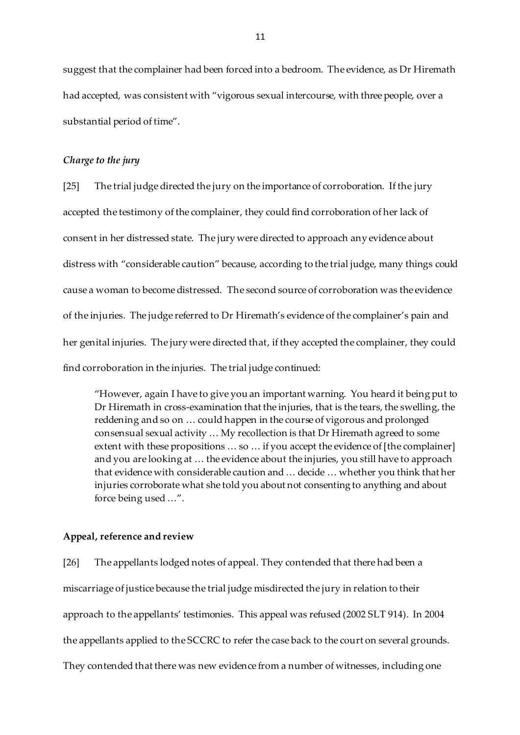suggest that the complainer had been forced into a bedroom. The evidence, as Dr Hiremath had accepted, was consistent with "vigorous sexual intercourse, with three people, over a substantial period of time".

### *Charge to the jury*

[25] The trial judge directed the jury on the importance of corroboration. If the jury accepted the testimony of the complainer, they could find corroboration of her lack of consent in her distressed state. The jury were directed to approach any evidence about distress with "considerable caution" because, according to the trial judge, many things could cause a woman to become distressed. The second source of corroboration was the evidence of the injuries. The judge referred to Dr Hiremath's evidence of the complainer's pain and her genital injuries. The jury were directed that, if they accepted the complainer, they could find corroboration in the injuries. The trial judge continued:

"However, again I have to give you an important warning. You heard it being put to Dr Hiremath in cross-examination that the injuries, that is the tears, the swelling, the reddening and so on … could happen in the course of vigorous and prolonged consensual sexual activity … My recollection is that Dr Hiremath agreed to some extent with these propositions ... so ... if you accept the evidence of [the complainer] and you are looking at … the evidence about the injuries, you still have to approach that evidence with considerable caution and … decide … whether you think that her injuries corroborate what she told you about not consenting to anything and about force being used …".

#### **Appeal, reference and review**

[26] The appellants lodged notes of appeal. They contended that there had been a miscarriage of justice because the trial judge misdirected the jury in relation to their approach to the appellants' testimonies. This appeal was refused (2002 SLT 914). In 2004 the appellants applied to the SCCRC to refer the case back to the court on several grounds. They contended that there was new evidence from a number of witnesses, including one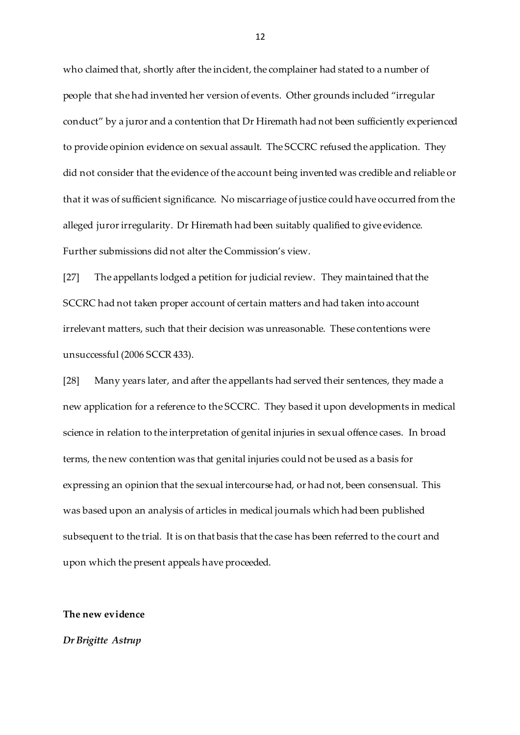who claimed that, shortly after the incident, the complainer had stated to a number of people that she had invented her version of events. Other grounds included "irregular conduct" by a juror and a contention that Dr Hiremath had not been sufficiently experienced to provide opinion evidence on sexual assault. The SCCRC refused the application. They did not consider that the evidence of the account being invented was credible and reliable or that it was of sufficient significance. No miscarriage of justice could have occurred from the alleged juror irregularity. Dr Hiremath had been suitably qualified to give evidence. Further submissions did not alter the Commission's view.

[27] The appellants lodged a petition for judicial review. They maintained that the SCCRC had not taken proper account of certain matters and had taken into account irrelevant matters, such that their decision was unreasonable. These contentions were unsuccessful (2006 SCCR 433).

[28] Many years later, and after the appellants had served their sentences, they made a new application for a reference to the SCCRC. They based it upon developments in medical science in relation to the interpretation of genital injuries in sexual offence cases. In broad terms, the new contention was that genital injuries could not be used as a basis for expressing an opinion that the sexual intercourse had, or had not, been consensual. This was based upon an analysis of articles in medical journals which had been published subsequent to the trial. It is on that basis that the case has been referred to the court and upon which the present appeals have proceeded.

### **The new evidence**

### *Dr Brigitte Astrup*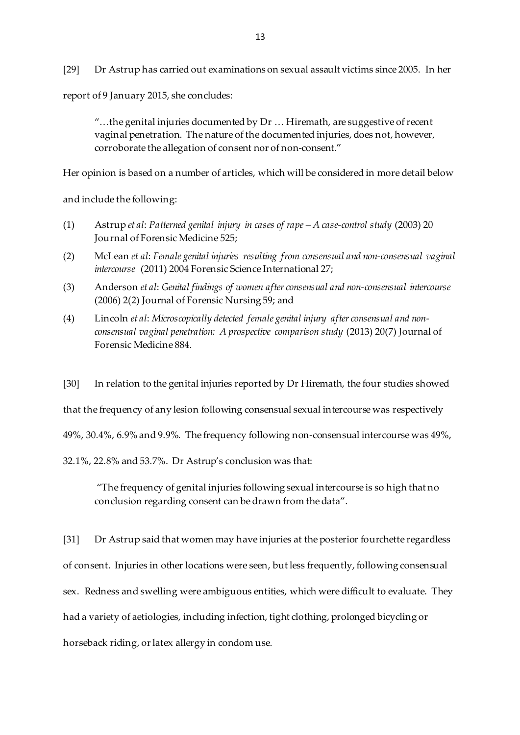[29] Dr Astrup has carried out examinations on sexual assault victims since 2005. In her

report of 9 January 2015, she concludes:

 $\ldots$  the genital injuries documented by Dr  $\ldots$  Hiremath, are suggestive of recent vaginal penetration. The nature of the documented injuries, does not, however, corroborate the allegation of consent nor of non-consent."

Her opinion is based on a number of articles, which will be considered in more detail below

and include the following:

- (1) Astrup *et al*: *Patterned genital injury in cases of rape – A case-control study* (2003) 20 Journal of Forensic Medicine 525;
- (2) McLean *et al*: *Female genital injuries resulting from consensual and non-consensual vaginal intercourse* (2011) 2004 Forensic Science International 27;
- (3) Anderson *et al*: *Genital findings of women after consensual and non-consensual intercourse* (2006) 2(2) Journal of Forensic Nursing 59; and
- (4) Lincoln *et al*: *Microscopically detected female genital injury after consensual and nonconsensual vaginal penetration: A prospective comparison study* (2013) 20(7) Journal of Forensic Medicine 884.

[30] In relation to the genital injuries reported by Dr Hiremath, the four studies showed

that the frequency of any lesion following consensual sexual intercourse was respectively

49%, 30.4%, 6.9% and 9.9%. The frequency following non-consensual intercourse was 49%,

32.1%, 22.8% and 53.7%. Dr Astrup's conclusion was that:

"The frequency of genital injuries following sexual intercourse is so high that no conclusion regarding consent can be drawn from the data".

[31] Dr Astrup said that women may have injuries at the posterior fourchette regardless of consent. Injuries in other locations were seen, but less frequently, following consensual sex. Redness and swelling were ambiguous entities, which were difficult to evaluate. They had a variety of aetiologies, including infection, tight clothing, prolonged bicycling or horseback riding, or latex allergy in condom use.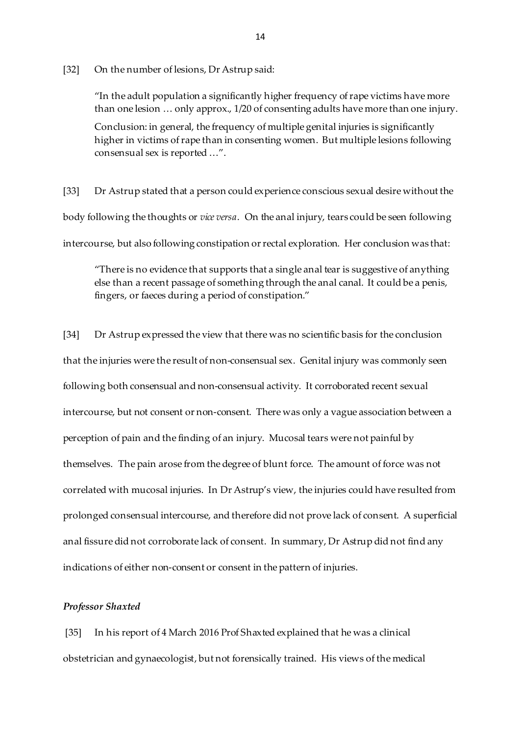[32] On the number of lesions, Dr Astrup said:

"In the adult population a significantly higher frequency of rape victims have more than one lesion … only approx., 1/20 of consenting adults have more than one injury.

Conclusion: in general, the frequency of multiple genital injuries is significantly higher in victims of rape than in consenting women. But multiple lesions following consensual sex is reported …".

[33] Dr Astrup stated that a person could experience conscious sexual desire without the body following the thoughts or *vice versa*. On the anal injury, tears could be seen following intercourse, but also following constipation or rectal exploration. Her conclusion was that:

"There is no evidence that supports that a single anal tear is suggestive of anything else than a recent passage of something through the anal canal. It could be a penis, fingers, or faeces during a period of constipation."

[34] Dr Astrup expressed the view that there was no scientific basis for the conclusion that the injuries were the result of non-consensual sex. Genital injury was commonly seen following both consensual and non-consensual activity. It corroborated recent sexual intercourse, but not consent or non-consent. There was only a vague association between a perception of pain and the finding of an injury. Mucosal tears were not painful by themselves. The pain arose from the degree of blunt force. The amount of force was not correlated with mucosal injuries. In Dr Astrup's view, the injuries could have resulted from prolonged consensual intercourse, and therefore did not prove lack of consent. A superficial anal fissure did not corroborate lack of consent. In summary, Dr Astrup did not find any indications of either non-consent or consent in the pattern of injuries.

#### *Professor Shaxted*

[35] In his report of 4 March 2016 Prof Shaxted explained that he was a clinical obstetrician and gynaecologist, but not forensically trained. His views of the medical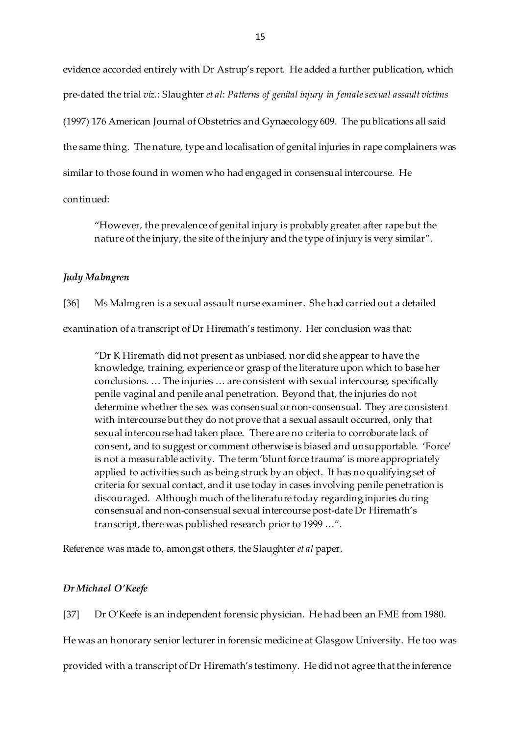evidence accorded entirely with Dr Astrup's report. He added a further publication, which pre-dated the trial *viz.*: Slaughter *et al*: *Patterns of genital injury in female sexual assault victims* (1997) 176 American Journal of Obstetrics and Gynaecology 609. The publications all said the same thing. The nature, type and localisation of genital injuries in rape complainers was similar to those found in women who had engaged in consensual intercourse. He

continued:

"However, the prevalence of genital injury is probably greater after rape but the nature of the injury, the site of the injury and the type of injury is very similar".

### *Judy Malmgren*

[36] Ms Malmgren is a sexual assault nurse examiner. She had carried out a detailed examination of a transcript of Dr Hiremath's testimony. Her conclusion was that:

"Dr K Hiremath did not present as unbiased, nor did she appear to have the knowledge, training, experience or grasp of the literature upon which to base her conclusions. … The injuries … are consistent with sexual intercourse, specifically penile vaginal and penile anal penetration. Beyond that, the injuries do not determine whether the sex was consensual or non-consensual. They are consistent with intercourse but they do not prove that a sexual assault occurred, only that sexual intercourse had taken place. There are no criteria to corroborate lack of consent, and to suggest or comment otherwise is biased and unsupportable. 'Force' is not a measurable activity. The term 'blunt force trauma' is more appropriately applied to activities such as being struck by an object. It has no qualifying set of criteria for sexual contact, and it use today in cases involving penile penetration is discouraged. Although much of the literature today regarding injuries during consensual and non-consensual sexual intercourse post-date Dr Hiremath's transcript, there was published research prior to 1999 …".

Reference was made to, amongst others, the Slaughter *et al* paper.

## *Dr Michael O'Keefe*

[37] Dr O'Keefe is an independent forensic physician. He had been an FME from 1980.

He was an honorary senior lecturer in forensic medicine at Glasgow University. He too was

provided with a transcript of Dr Hiremath's testimony. He did not agree that the inference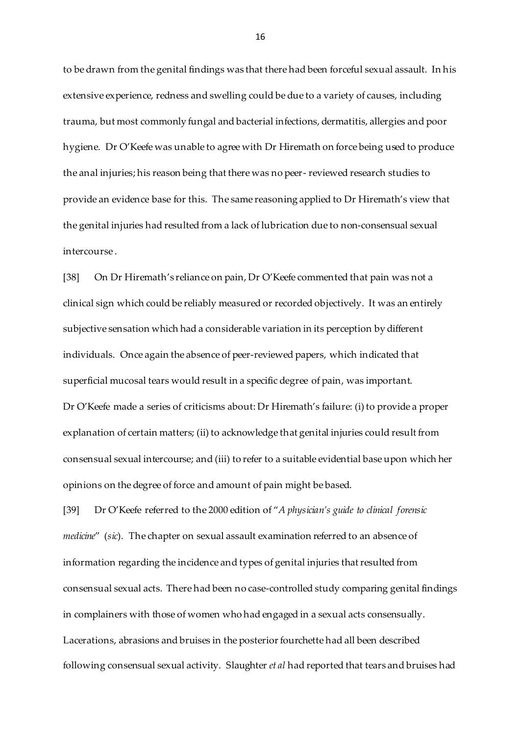to be drawn from the genital findings was that there had been forceful sexual assault. In his extensive experience, redness and swelling could be due to a variety of causes, including trauma, but most commonly fungal and bacterial infections, dermatitis, allergies and poor hygiene. Dr O'Keefe was unable to agree with Dr Hiremath on force being used to produce the anal injuries; his reason being that there was no peer- reviewed research studies to provide an evidence base for this. The same reasoning applied to Dr Hiremath's view that the genital injuries had resulted from a lack of lubrication due to non-consensual sexual intercourse .

[38] On Dr Hiremath's reliance on pain, Dr O'Keefe commented that pain was not a clinical sign which could be reliably measured or recorded objectively. It was an entirely subjective sensation which had a considerable variation in its perception by different individuals. Once again the absence of peer-reviewed papers, which indicated that superficial mucosal tears would result in a specific degree of pain, was important. Dr O'Keefe made a series of criticisms about: Dr Hiremath's failure: (i) to provide a proper explanation of certain matters; (ii) to acknowledge that genital injuries could result from consensual sexual intercourse; and (iii) to refer to a suitable evidential base upon which her opinions on the degree of force and amount of pain might be based.

[39] Dr O'Keefe referred to the 2000 edition of "*A physician's guide to clinical forensic medicine*" (*sic*). The chapter on sexual assault examination referred to an absence of information regarding the incidence and types of genital injuries that resulted from consensual sexual acts. There had been no case-controlled study comparing genital findings in complainers with those of women who had engaged in a sexual acts consensually. Lacerations, abrasions and bruises in the posterior fourchette had all been described following consensual sexual activity. Slaughter *et al* had reported that tears and bruises had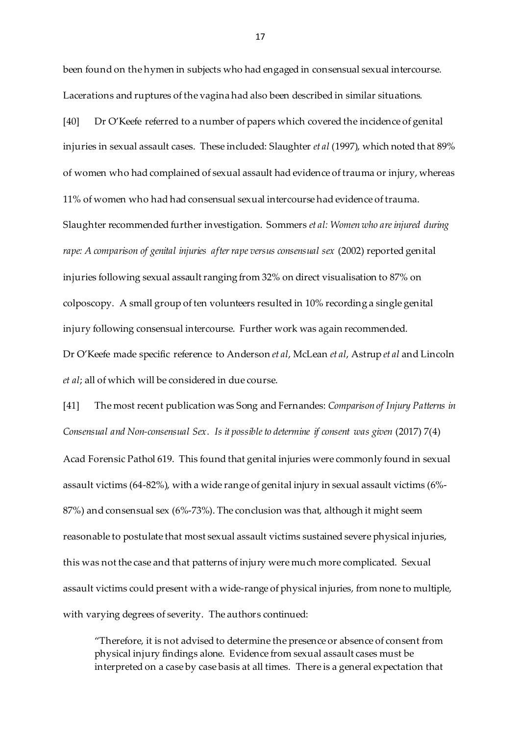been found on the hymen in subjects who had engaged in consensual sexual intercourse. Lacerations and ruptures of the vagina had also been described in similar situations.

[40] Dr O'Keefe referred to a number of papers which covered the incidence of genital injuries in sexual assault cases. These included: Slaughter *et al* (1997), which noted that 89% of women who had complained of sexual assault had evidence of trauma or injury, whereas 11% of women who had had consensual sexual intercourse had evidence of trauma. Slaughter recommended further investigation. Sommers *et al: Women who are injured during rape: A comparison of genital injuries after rape versus consensual sex* (2002) reported genital injuries following sexual assault ranging from 32% on direct visualisation to 87% on colposcopy. A small group of ten volunteers resulted in 10% recording a single genital injury following consensual intercourse. Further work was again recommended. Dr O'Keefe made specific reference to Anderson *et al*, McLean *et al*, Astrup *et al* and Lincoln *et al*; all of which will be considered in due course.

[41] The most recent publication was Song and Fernandes: *Comparison of Injury Patterns in Consensual and Non-consensual Sex. Is it possible to determine if consent was given* (2017) 7(4) Acad Forensic Pathol 619. This found that genital injuries were commonly found in sexual assault victims (64-82%), with a wide range of genital injury in sexual assault victims (6%- 87%) and consensual sex (6%-73%). The conclusion was that, although it might seem reasonable to postulate that most sexual assault victims sustained severe physical injuries, this was not the case and that patterns of injury were much more complicated. Sexual assault victims could present with a wide-range of physical injuries, from none to multiple, with varying degrees of severity. The authors continued:

"Therefore, it is not advised to determine the presence or absence of consent from physical injury findings alone. Evidence from sexual assault cases must be interpreted on a case by case basis at all times. There is a general expectation that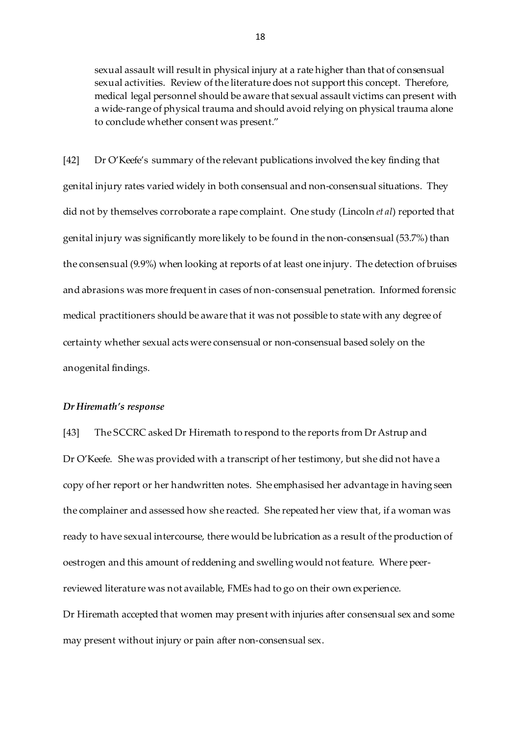sexual assault will result in physical injury at a rate higher than that of consensual sexual activities. Review of the literature does not support this concept. Therefore, medical legal personnel should be aware that sexual assault victims can present with a wide-range of physical trauma and should avoid relying on physical trauma alone to conclude whether consent was present."

[42] Dr O'Keefe's summary of the relevant publications involved the key finding that genital injury rates varied widely in both consensual and non-consensual situations. They did not by themselves corroborate a rape complaint. One study (Lincoln *et al*) reported that genital injury was significantly more likely to be found in the non-consensual (53.7%) than the consensual (9.9%) when looking at reports of at least one injury. The detection of bruises and abrasions was more frequent in cases of non-consensual penetration. Informed forensic medical practitioners should be aware that it was not possible to state with any degree of certainty whether sexual acts were consensual or non-consensual based solely on the anogenital findings.

### *Dr Hiremath's response*

[43] The SCCRC asked Dr Hiremath to respond to the reports from Dr Astrup and Dr O'Keefe. She was provided with a transcript of her testimony, but she did not have a copy of her report or her handwritten notes. She emphasised her advantage in having seen the complainer and assessed how she reacted. She repeated her view that, if a woman was ready to have sexual intercourse, there would be lubrication as a result of the production of oestrogen and this amount of reddening and swelling would not feature. Where peerreviewed literature was not available, FMEs had to go on their own experience. Dr Hiremath accepted that women may present with injuries after consensual sex and some may present without injury or pain after non-consensual sex.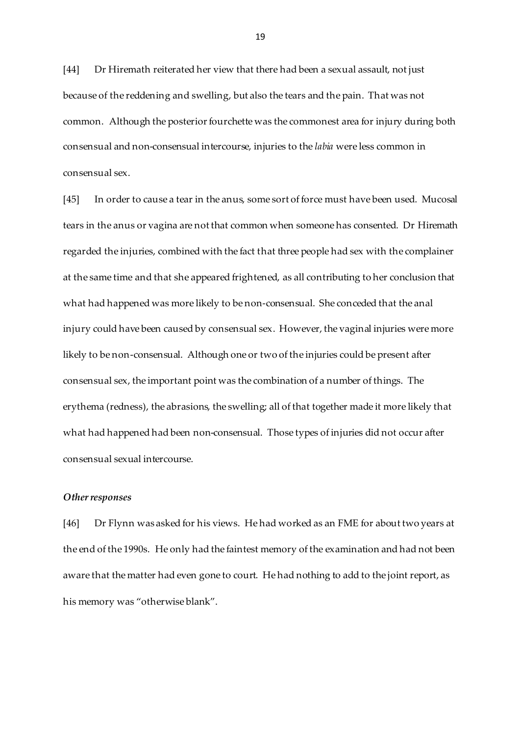[44] Dr Hiremath reiterated her view that there had been a sexual assault, not just because of the reddening and swelling, but also the tears and the pain. That was not common. Although the posterior fourchette was the commonest area for injury during both consensual and non-consensual intercourse, injuries to the *labia* were less common in consensual sex.

[45] In order to cause a tear in the anus, some sort of force must have been used. Mucosal tears in the anus or vagina are not that common when someone has consented. Dr Hiremath regarded the injuries, combined with the fact that three people had sex with the complainer at the same time and that she appeared frightened, as all contributing to her conclusion that what had happened was more likely to be non-consensual. She conceded that the anal injury could have been caused by consensual sex. However, the vaginal injuries were more likely to be non-consensual. Although one or two of the injuries could be present after consensual sex, the important point was the combination of a number of things. The erythema (redness), the abrasions, the swelling; all of that together made it more likely that what had happened had been non-consensual. Those types of injuries did not occur after consensual sexual intercourse.

#### *Other responses*

[46] Dr Flynn was asked for his views. He had worked as an FME for about two years at the end of the 1990s. He only had the faintest memory of the examination and had not been aware that the matter had even gone to court. He had nothing to add to the joint report, as his memory was "otherwise blank".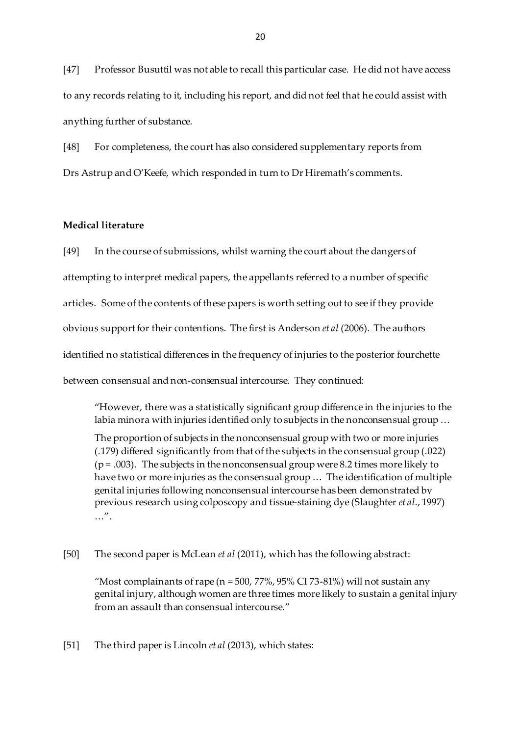[47] Professor Busuttil was not able to recall this particular case. He did not have access to any records relating to it, including his report, and did not feel that he could assist with anything further of substance.

[48] For completeness, the court has also considered supplementary reports from Drs Astrup and O'Keefe, which responded in turn to Dr Hiremath's comments.

## **Medical literature**

[49] In the course of submissions, whilst warning the court about the dangers of attempting to interpret medical papers, the appellants referred to a number of specific articles. Some of the contents of these papers is worth setting out to see if they provide obvious support for their contentions. The first is Anderson *et al* (2006). The authors identified no statistical differences in the frequency of injuries to the posterior fourchette between consensual and non-consensual intercourse. They continued:

"However, there was a statistically significant group difference in the injuries to the labia minora with injuries identified only to subjects in the nonconsensual group …

The proportion of subjects in the nonconsensual group with two or more injuries (.179) differed significantly from that of the subjects in the consensual group (.022)  $(p = .003)$ . The subjects in the nonconsensual group were 8.2 times more likely to have two or more injuries as the consensual group … The identification of multiple genital injuries following nonconsensual intercourse has been demonstrated by previous research using colposcopy and tissue-staining dye (Slaughter *et al*., 1997) …".

[50] The second paper is McLean *et al* (2011), which has the following abstract:

"Most complainants of rape ( $n = 500$ , 77%, 95% CI 73-81%) will not sustain any genital injury, although women are three times more likely to sustain a genital injury from an assault than consensual intercourse."

[51] The third paper is Lincoln *et al* (2013), which states: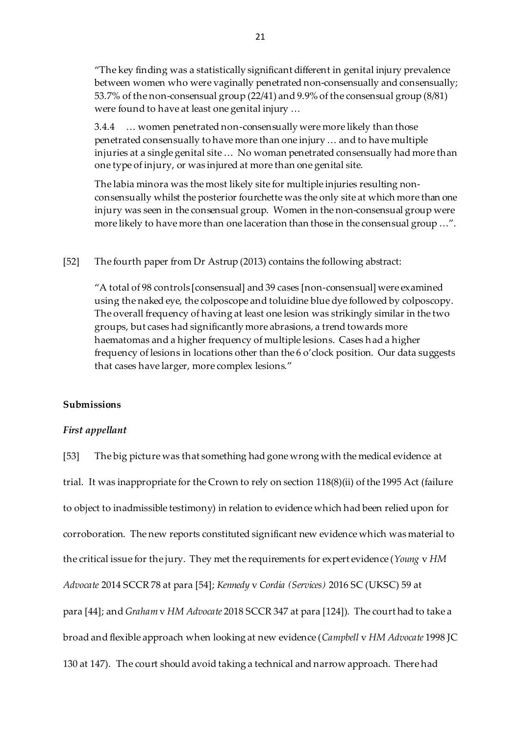"The key finding was a statistically significant different in genital injury prevalence between women who were vaginally penetrated non-consensually and consensually; 53.7% of the non-consensual group (22/41) and 9.9% of the consensual group (8/81) were found to have at least one genital injury …

3.4.4 … women penetrated non-consensually were more likely than those penetrated consensually to have more than one injury … and to have multiple injuries at a single genital site … No woman penetrated consensually had more than one type of injury, or was injured at more than one genital site.

The labia minora was the most likely site for multiple injuries resulting nonconsensually whilst the posterior fourchette was the only site at which more than one injury was seen in the consensual group. Women in the non-consensual group were more likely to have more than one laceration than those in the consensual group …".

[52] The fourth paper from Dr Astrup (2013) contains the following abstract:

"A total of 98 controls [consensual] and 39 cases [non-consensual] were examined using the naked eye, the colposcope and toluidine blue dye followed by colposcopy. The overall frequency of having at least one lesion was strikingly similar in the two groups, but cases had significantly more abrasions, a trend towards more haematomas and a higher frequency of multiple lesions. Cases had a higher frequency of lesions in locations other than the 6 o'clock position. Our data suggests that cases have larger, more complex lesions."

#### **Submissions**

### *First appellant*

[53] The big picture was that something had gone wrong with the medical evidence at trial. It was inappropriate for the Crown to rely on section 118(8)(ii) of the 1995 Act (failure to object to inadmissible testimony) in relation to evidence which had been relied upon for corroboration. The new reports constituted significant new evidence which was material to the critical issue for the jury. They met the requirements for expert evidence (*Young* v *HM Advocate* 2014 SCCR 78 at para [54]; *Kennedy* v *Cordia (Services)* 2016 SC (UKSC) 59 at para [44]; and *Graham* v *HM Advocate* 2018 SCCR 347 at para [124]). The court had to take a broad and flexible approach when looking at new evidence (*Campbell* v *HM Advocate* 1998 JC 130 at 147). The court should avoid taking a technical and narrow approach. There had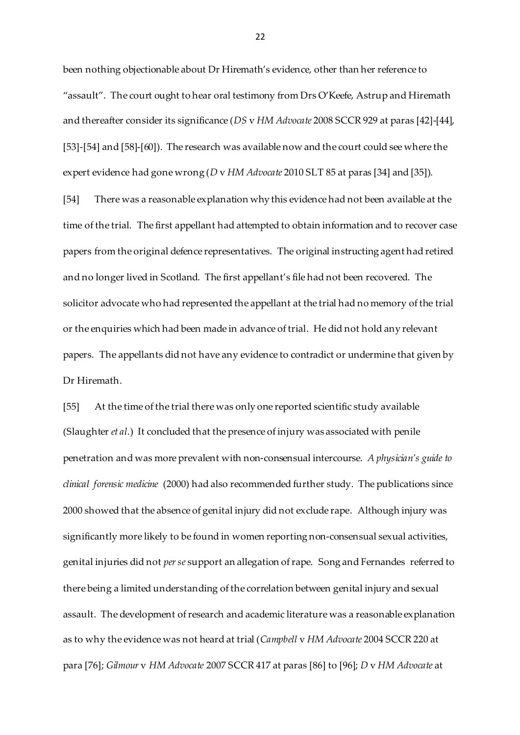been nothing objectionable about Dr Hiremath's evidence, other than her reference to "assault". The court ought to hear oral testimony from Drs O'Keefe, Astrup and Hiremath and thereafter consider its significance (*DS* v *HM Advocate* 2008 SCCR 929 at paras [42]-[44], [53]-[54] and [58]-[60]). The research was available now and the court could see where the expert evidence had gone wrong (*D* v *HM Advocate* 2010 SLT 85 at paras [34] and [35]).

[54] There was a reasonable explanation why this evidence had not been available at the time of the trial. The first appellant had attempted to obtain information and to recover case papers from the original defence representatives. The original instructing agent had retired and no longer lived in Scotland. The first appellant's file had not been recovered. The solicitor advocate who had represented the appellant at the trial had no memory of the trial or the enquiries which had been made in advance of trial. He did not hold any relevant papers. The appellants did not have any evidence to contradict or undermine that given by Dr Hiremath.

[55] At the time of the trial there was only one reported scientific study available (Slaughter *et al*.) It concluded that the presence of injury was associated with penile penetration and was more prevalent with non-consensual intercourse. *A physician's guide to clinical forensic medicine* (2000) had also recommended further study. The publications since 2000 showed that the absence of genital injury did not exclude rape. Although injury was significantly more likely to be found in women reporting non-consensual sexual activities, genital injuries did not *per se* support an allegation of rape. Song and Fernandes referred to there being a limited understanding of the correlation between genital injury and sexual assault. The development of research and academic literature was a reasonable explanation as to why the evidence was not heard at trial (*Campbell* v *HM Advocate* 2004 SCCR 220 at para [76]; *Gilmour* v *HM Advocate* 2007 SCCR 417 at paras [86] to [96]; *D* v *HM Advocate* at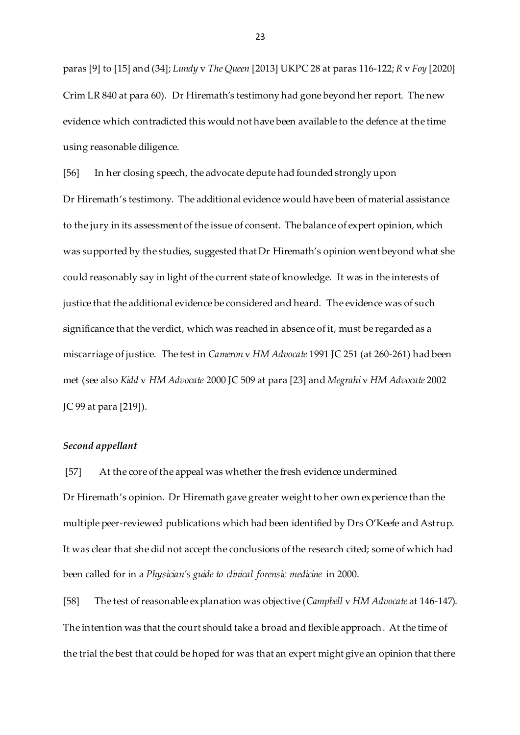paras [9] to [15] and (34]; *Lundy* v *The Queen* [2013] UKPC 28 at paras 116-122; *R* v *Foy* [2020] Crim LR 840 at para 60). Dr Hiremath's testimony had gone beyond her report. The new evidence which contradicted this would not have been available to the defence at the time using reasonable diligence.

[56] In her closing speech, the advocate depute had founded strongly upon Dr Hiremath's testimony. The additional evidence would have been of material assistance to the jury in its assessment of the issue of consent. The balance of expert opinion, which was supported by the studies, suggested that Dr Hiremath's opinion went beyond what she could reasonably say in light of the current state of knowledge. It was in the interests of justice that the additional evidence be considered and heard. The evidence was of such significance that the verdict, which was reached in absence of it, must be regarded as a miscarriage of justice. The test in *Cameron* v *HM Advocate* 1991 JC 251 (at 260-261) had been met (see also *Kidd* v *HM Advocate* 2000 JC 509 at para [23] and *Megrahi* v *HM Advocate* 2002 JC 99 at para [219]).

### *Second appellant*

[57] At the core of the appeal was whether the fresh evidence undermined Dr Hiremath's opinion. Dr Hiremath gave greater weight to her own experience than the multiple peer-reviewed publications which had been identified by Drs O'Keefe and Astrup. It was clear that she did not accept the conclusions of the research cited; some of which had been called for in a *Physician's guide to clinical forensic medicine* in 2000.

[58] The test of reasonable explanation was objective (*Campbell* v *HM Advocate* at 146-147). The intention was that the court should take a broad and flexible approach. At the time of the trial the best that could be hoped for was that an expert might give an opinion that there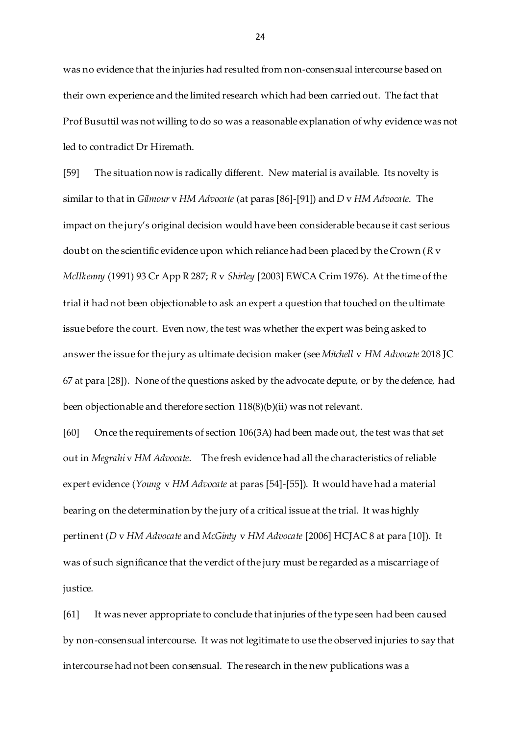was no evidence that the injuries had resulted from non-consensual intercourse based on their own experience and the limited research which had been carried out. The fact that Prof Busuttil was not willing to do so was a reasonable explanation of why evidence was not led to contradict Dr Hiremath.

[59] The situation now is radically different. New material is available. Its novelty is similar to that in *Gilmour* v *HM Advocate* (at paras [86]-[91]) and *D* v *HM Advocate*. The impact on the jury's original decision would have been considerable because it cast serious doubt on the scientific evidence upon which reliance had been placed by the Crown (*R* v *McIlkenny* (1991) 93 Cr App R 287; *R* v *Shirley* [2003] EWCA Crim 1976). At the time of the trial it had not been objectionable to ask an expert a question that touched on the ultimate issue before the court. Even now, the test was whether the expert was being asked to answer the issue for the jury as ultimate decision maker (see *Mitchell* v *HM Advocate* 2018 JC 67 at para [28]). None of the questions asked by the advocate depute, or by the defence, had been objectionable and therefore section 118(8)(b)(ii) was not relevant.

[60] Once the requirements of section 106(3A) had been made out, the test was that set out in *Megrahi* v *HM Advocate*. The fresh evidence had all the characteristics of reliable expert evidence (*Young* v *HM Advocate* at paras [54]-[55]). It would have had a material bearing on the determination by the jury of a critical issue at the trial. It was highly pertinent (*D* v *HM Advocate* and *McGinty* v *HM Advocate* [2006] HCJAC 8 at para [10]). It was of such significance that the verdict of the jury must be regarded as a miscarriage of justice.

[61] It was never appropriate to conclude that injuries of the type seen had been caused by non-consensual intercourse. It was not legitimate to use the observed injuries to say that intercourse had not been consensual. The research in the new publications was a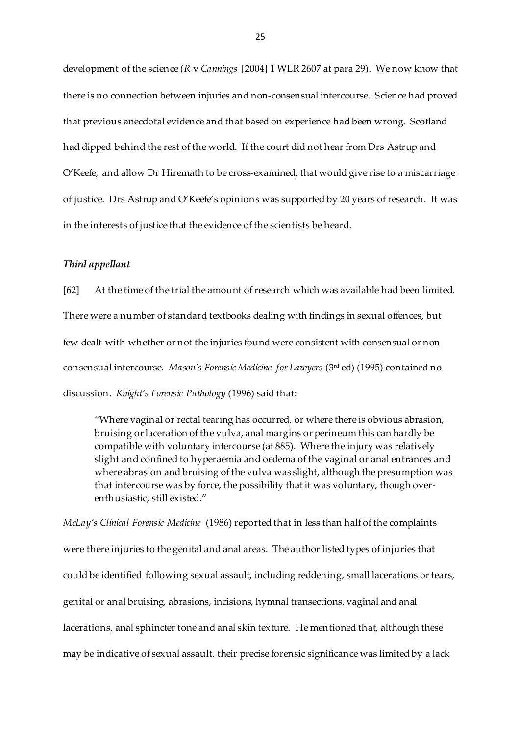development of the science (*R* v *Cannings* [2004] 1 WLR 2607 at para 29). We now know that there is no connection between injuries and non-consensual intercourse. Science had proved that previous anecdotal evidence and that based on experience had been wrong. Scotland had dipped behind the rest of the world. If the court did not hear from Drs Astrup and O'Keefe, and allow Dr Hiremath to be cross-examined, that would give rise to a miscarriage of justice. Drs Astrup and O'Keefe's opinions was supported by 20 years of research. It was in the interests of justice that the evidence of the scientists be heard.

### *Third appellant*

[62] At the time of the trial the amount of research which was available had been limited. There were a number of standard textbooks dealing with findings in sexual offences, but few dealt with whether or not the injuries found were consistent with consensual or nonconsensual intercourse. *Mason's Forensic Medicine for Lawyers* (3rd ed) (1995) contained no discussion. *Knight's Forensic Pathology* (1996) said that:

"Where vaginal or rectal tearing has occurred, or where there is obvious abrasion, bruising or laceration of the vulva, anal margins or perineum this can hardly be compatible with voluntary intercourse (at 885). Where the injury was relatively slight and confined to hyperaemia and oedema of the vaginal or anal entrances and where abrasion and bruising of the vulva was slight, although the presumption was that intercourse was by force, the possibility that it was voluntary, though overenthusiastic, still existed."

*McLay's Clinical Forensic Medicine* (1986) reported that in less than half of the complaints were there injuries to the genital and anal areas. The author listed types of injuries that could be identified following sexual assault, including reddening, small lacerations or tears, genital or anal bruising, abrasions, incisions, hymnal transections, vaginal and anal lacerations, anal sphincter tone and anal skin texture. He mentioned that, although these may be indicative of sexual assault, their precise forensic significance was limited by a lack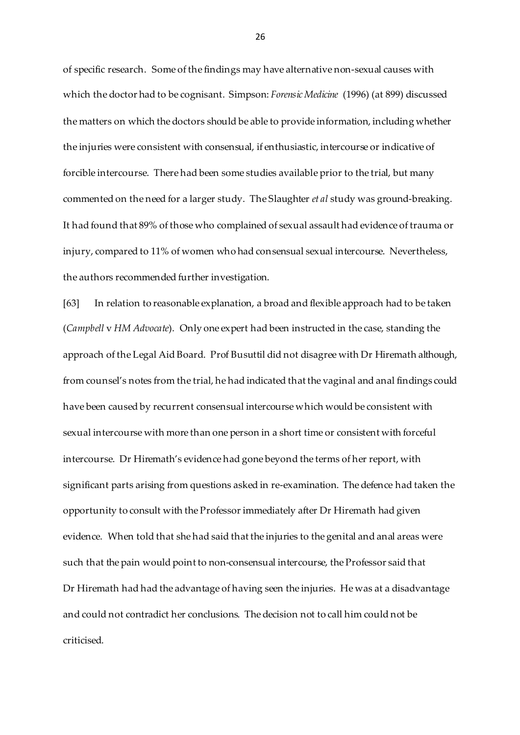of specific research. Some of the findings may have alternative non-sexual causes with which the doctor had to be cognisant. Simpson: *Forensic Medicine* (1996) (at 899) discussed the matters on which the doctors should be able to provide information, including whether the injuries were consistent with consensual, if enthusiastic, intercourse or indicative of forcible intercourse. There had been some studies available prior to the trial, but many commented on the need for a larger study. The Slaughter *et al* study was ground-breaking. It had found that 89% of those who complained of sexual assault had evidence of trauma or injury, compared to 11% of women who had consensual sexual intercourse. Nevertheless, the authors recommended further investigation.

[63] In relation to reasonable explanation, a broad and flexible approach had to be taken (*Campbell* v *HM Advocate*). Only one expert had been instructed in the case, standing the approach of the Legal Aid Board. Prof Busuttil did not disagree with Dr Hiremath although, from counsel's notes from the trial, he had indicated that the vaginal and anal findings could have been caused by recurrent consensual intercourse which would be consistent with sexual intercourse with more than one person in a short time or consistent with forceful intercourse. Dr Hiremath's evidence had gone beyond the terms of her report, with significant parts arising from questions asked in re-examination. The defence had taken the opportunity to consult with the Professor immediately after Dr Hiremath had given evidence. When told that she had said that the injuries to the genital and anal areas were such that the pain would point to non-consensual intercourse, the Professor said that Dr Hiremath had had the advantage of having seen the injuries. He was at a disadvantage and could not contradict her conclusions. The decision not to call him could not be criticised.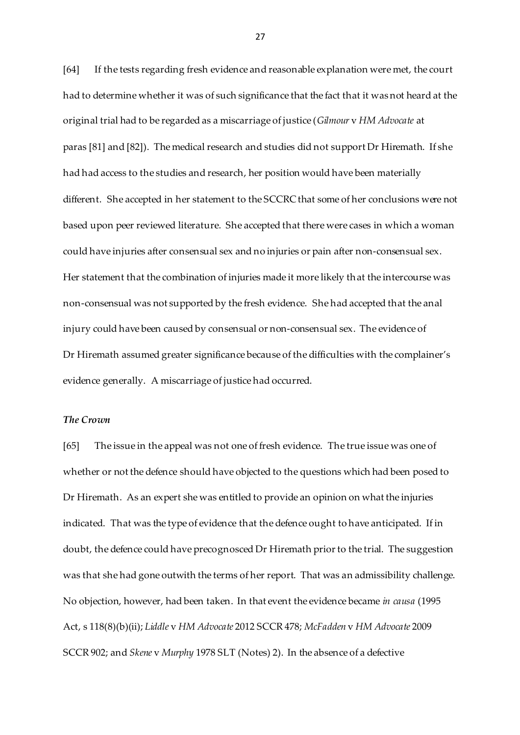[64] If the tests regarding fresh evidence and reasonable explanation were met, the court had to determine whether it was of such significance that the fact that it was not heard at the original trial had to be regarded as a miscarriage of justice (*Gilmour* v *HM Advocate* at paras [81] and [82]). The medical research and studies did not support Dr Hiremath. If she had had access to the studies and research, her position would have been materially different. She accepted in her statement to the SCCRC that some of her conclusions were not based upon peer reviewed literature. She accepted that there were cases in which a woman could have injuries after consensual sex and no injuries or pain after non-consensual sex. Her statement that the combination of injuries made it more likely that the intercourse was non-consensual was not supported by the fresh evidence. She had accepted that the anal injury could have been caused by consensual or non-consensual sex. The evidence of Dr Hiremath assumed greater significance because of the difficulties with the complainer's evidence generally. A miscarriage of justice had occurred.

## *The Crown*

[65] The issue in the appeal was not one of fresh evidence. The true issue was one of whether or not the defence should have objected to the questions which had been posed to Dr Hiremath. As an expert she was entitled to provide an opinion on what the injuries indicated. That was the type of evidence that the defence ought to have anticipated. If in doubt, the defence could have precognosced Dr Hiremath prior to the trial. The suggestion was that she had gone outwith the terms of her report. That was an admissibility challenge. No objection, however, had been taken. In that event the evidence became *in causa* (1995 Act, s 118(8)(b)(ii); *Liddle* v *HM Advocate* 2012 SCCR 478; *McFadden* v *HM Advocate* 2009 SCCR 902; and *Skene* v *Murphy* 1978 SLT (Notes) 2). In the absence of a defective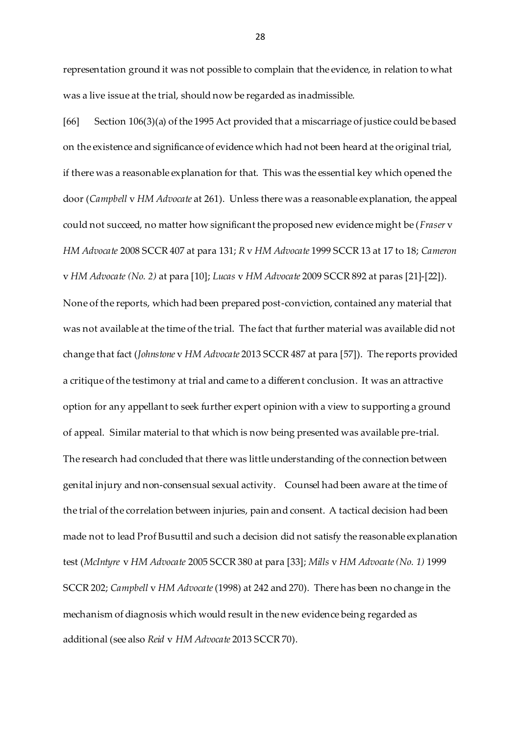representation ground it was not possible to complain that the evidence, in relation to what was a live issue at the trial, should now be regarded as inadmissible.

[66] Section 106(3)(a) of the 1995 Act provided that a miscarriage of justice could be based on the existence and significance of evidence which had not been heard at the original trial, if there was a reasonable explanation for that. This was the essential key which opened the door (*Campbell* v *HM Advocate* at 261). Unless there was a reasonable explanation, the appeal could not succeed, no matter how significant the proposed new evidence might be (*Fraser* v *HM Advocate* 2008 SCCR 407 at para 131; *R* v *HM Advocate* 1999 SCCR 13 at 17 to 18; *Cameron*  v *HM Advocate (No. 2)* at para [10]; *Lucas* v *HM Advocate* 2009 SCCR 892 at paras [21]-[22]). None of the reports, which had been prepared post-conviction, contained any material that was not available at the time of the trial. The fact that further material was available did not change that fact (*Johnstone* v *HM Advocate* 2013 SCCR 487 at para [57]). The reports provided a critique of the testimony at trial and came to a different conclusion. It was an attractive option for any appellant to seek further expert opinion with a view to supporting a ground of appeal. Similar material to that which is now being presented was available pre-trial. The research had concluded that there was little understanding of the connection between genital injury and non-consensual sexual activity. Counsel had been aware at the time of the trial of the correlation between injuries, pain and consent. A tactical decision had been made not to lead Prof Busuttil and such a decision did not satisfy the reasonable explanation test (*McIntyre* v *HM Advocate* 2005 SCCR 380 at para [33]; *Mills* v *HM Advocate (No. 1)* 1999 SCCR 202; *Campbell* v *HM Advocate*(1998) at 242 and 270). There has been no change in the mechanism of diagnosis which would result in the new evidence being regarded as additional (see also *Reid* v *HM Advocate* 2013 SCCR 70).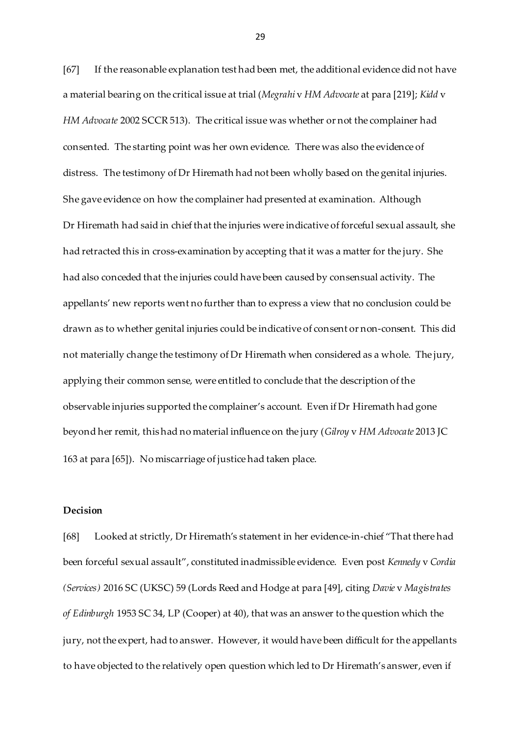[67] If the reasonable explanation test had been met, the additional evidence did not have a material bearing on the critical issue at trial (*Megrahi* v *HM Advocate* at para [219]; *Kidd* v *HM Advocate* 2002 SCCR 513). The critical issue was whether or not the complainer had consented. The starting point was her own evidence. There was also the evidence of distress. The testimony of Dr Hiremath had not been wholly based on the genital injuries. She gave evidence on how the complainer had presented at examination. Although Dr Hiremath had said in chief that the injuries were indicative of forceful sexual assault, she had retracted this in cross-examination by accepting that it was a matter for the jury. She had also conceded that the injuries could have been caused by consensual activity. The appellants' new reports went no further than to express a view that no conclusion could be drawn as to whether genital injuries could be indicative of consent or non-consent. This did not materially change the testimony of Dr Hiremath when considered as a whole. The jury, applying their common sense, were entitled to conclude that the description of the observable injuries supported the complainer's account. Even if Dr Hiremath had gone beyond her remit, this had no material influence on the jury (*Gilroy* v *HM Advocate* 2013 JC 163 at para [65]). No miscarriage of justice had taken place.

# **Decision**

[68] Looked at strictly, Dr Hiremath's statement in her evidence-in-chief "That there had been forceful sexual assault", constituted inadmissible evidence. Even post *Kennedy* v *Cordia (Services)* 2016 SC (UKSC) 59 (Lords Reed and Hodge at para [49], citing *Davie* v *Magistrates of Edinburgh* 1953 SC 34, LP (Cooper) at 40), that was an answer to the question which the jury, not the expert, had to answer. However, it would have been difficult for the appellants to have objected to the relatively open question which led to Dr Hiremath's answer, even if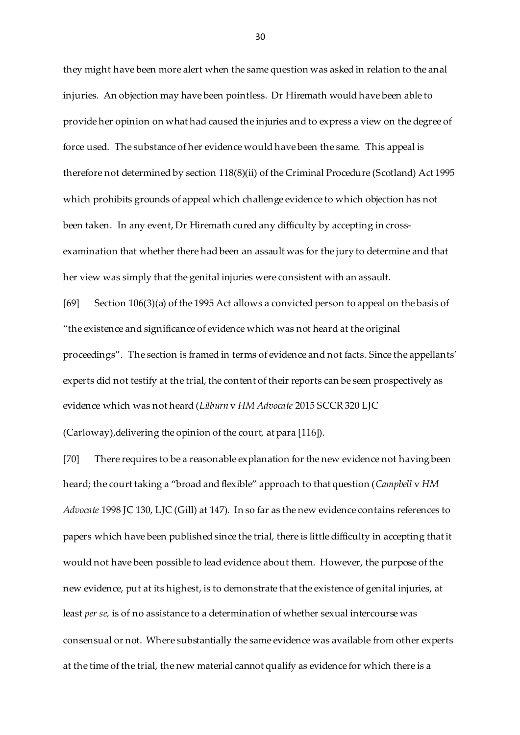they might have been more alert when the same question was asked in relation to the anal injuries. An objection may have been pointless. Dr Hiremath would have been able to provide her opinion on what had caused the injuries and to express a view on the degree of force used. The substance of her evidence would have been the same. This appeal is therefore not determined by section 118(8)(ii) of the Criminal Procedure (Scotland) Act 1995 which prohibits grounds of appeal which challenge evidence to which objection has not been taken. In any event, Dr Hiremath cured any difficulty by accepting in crossexamination that whether there had been an assault was for the jury to determine and that her view was simply that the genital injuries were consistent with an assault.

[69] Section 106(3)(a) of the 1995 Act allows a convicted person to appeal on the basis of "the existence and significance of evidence which was not heard at the original proceedings". The section is framed in terms of evidence and not facts. Since the appellants' experts did not testify at the trial, the content of their reports can be seen prospectively as evidence which was not heard (*Lilburn* v *HM Advocate* 2015 SCCR 320 LJC

(Carloway),delivering the opinion of the court, at para [116]).

[70] There requires to be a reasonable explanation for the new evidence not having been heard; the court taking a "broad and flexible" approach to that question (*Campbell* v *HM Advocate* 1998 JC 130, LJC (Gill) at 147). In so far as the new evidence contains references to papers which have been published since the trial, there is little difficulty in accepting that it would not have been possible to lead evidence about them. However, the purpose of the new evidence, put at its highest, is to demonstrate that the existence of genital injuries, at least *per se,* is of no assistance to a determination of whether sexual intercourse was consensual or not. Where substantially the same evidence was available from other experts at the time of the trial, the new material cannot qualify as evidence for which there is a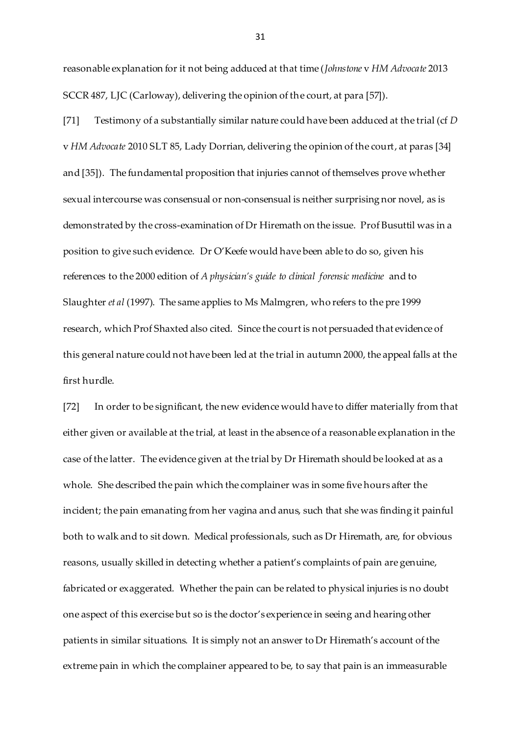reasonable explanation for it not being adduced at that time (*Johnstone* v *HM Advocate* 2013 SCCR 487, LJC (Carloway), delivering the opinion of the court, at para [57]).

[71] Testimony of a substantially similar nature could have been adduced at the trial (cf *D*  v *HM Advocate* 2010 SLT 85, Lady Dorrian, delivering the opinion of the court, at paras [34] and [35]). The fundamental proposition that injuries cannot of themselves prove whether sexual intercourse was consensual or non-consensual is neither surprising nor novel, as is demonstrated by the cross-examination of Dr Hiremath on the issue. Prof Busuttil was in a position to give such evidence. Dr O'Keefe would have been able to do so, given his references to the 2000 edition of *A physician's guide to clinical forensic medicine* and to Slaughter *et al* (1997). The same applies to Ms Malmgren, who refers to the pre 1999 research, which Prof Shaxted also cited. Since the court is not persuaded that evidence of this general nature could not have been led at the trial in autumn 2000, the appeal falls at the first hurdle.

[72] In order to be significant, the new evidence would have to differ materially from that either given or available at the trial, at least in the absence of a reasonable explanation in the case of the latter. The evidence given at the trial by Dr Hiremath should be looked at as a whole. She described the pain which the complainer was in some five hours after the incident; the pain emanating from her vagina and anus, such that she was finding it painful both to walk and to sit down. Medical professionals, such as Dr Hiremath, are, for obvious reasons, usually skilled in detecting whether a patient's complaints of pain are genuine, fabricated or exaggerated. Whether the pain can be related to physical injuries is no doubt one aspect of this exercise but so is the doctor's experience in seeing and hearing other patients in similar situations. It is simply not an answer to Dr Hiremath's account of the extreme pain in which the complainer appeared to be, to say that pain is an immeasurable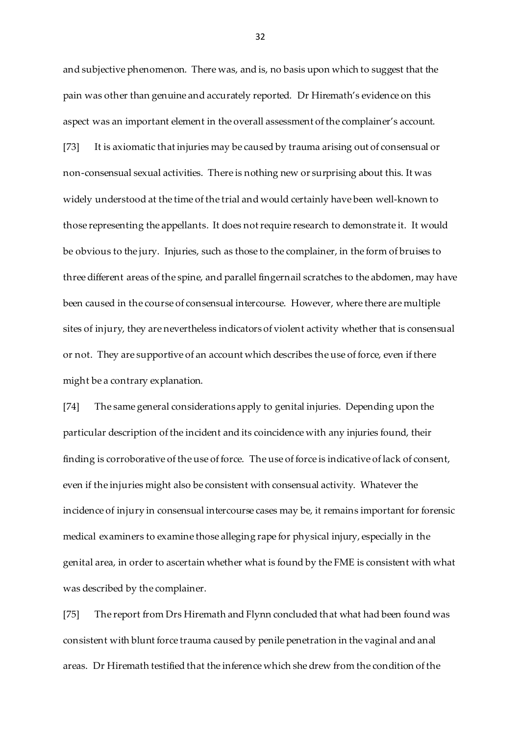and subjective phenomenon. There was, and is, no basis upon which to suggest that the pain was other than genuine and accurately reported. Dr Hiremath's evidence on this aspect was an important element in the overall assessment of the complainer's account. [73] It is axiomatic that injuries may be caused by trauma arising out of consensual or non-consensual sexual activities. There is nothing new or surprising about this. It was widely understood at the time of the trial and would certainly have been well-known to those representing the appellants. It does not require research to demonstrate it. It would be obvious to the jury. Injuries, such as those to the complainer, in the form of bruises to three different areas of the spine, and parallel fingernail scratches to the abdomen, may have been caused in the course of consensual intercourse. However, where there are multiple sites of injury, they are nevertheless indicators of violent activity whether that is consensual or not. They are supportive of an account which describes the use of force, even if there might be a contrary explanation.

[74] The same general considerations apply to genital injuries. Depending upon the particular description of the incident and its coincidence with any injuries found, their finding is corroborative of the use of force. The use of force is indicative of lack of consent, even if the injuries might also be consistent with consensual activity. Whatever the incidence of injury in consensual intercourse cases may be, it remains important for forensic medical examiners to examine those alleging rape for physical injury, especially in the genital area, in order to ascertain whether what is found by the FME is consistent with what was described by the complainer.

[75] The report from Drs Hiremath and Flynn concluded that what had been found was consistent with blunt force trauma caused by penile penetration in the vaginal and anal areas. Dr Hiremath testified that the inference which she drew from the condition of the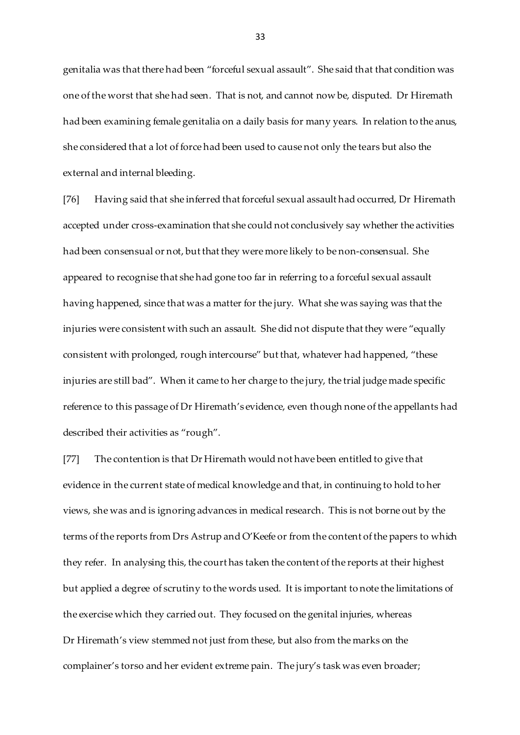genitalia was that there had been "forceful sexual assault". She said that that condition was one of the worst that she had seen. That is not, and cannot now be, disputed. Dr Hiremath had been examining female genitalia on a daily basis for many years. In relation to the anus, she considered that a lot of force had been used to cause not only the tears but also the external and internal bleeding.

[76] Having said that she inferred that forceful sexual assault had occurred, Dr Hiremath accepted under cross-examination that she could not conclusively say whether the activities had been consensual or not, but that they were more likely to be non-consensual. She appeared to recognise that she had gone too far in referring to a forceful sexual assault having happened, since that was a matter for the jury. What she was saying was that the injuries were consistent with such an assault. She did not dispute that they were "equally consistent with prolonged, rough intercourse" but that, whatever had happened, "these injuries are still bad". When it came to her charge to the jury, the trial judge made specific reference to this passage of Dr Hiremath's evidence, even though none of the appellants had described their activities as "rough".

[77] The contention is that Dr Hiremath would not have been entitled to give that evidence in the current state of medical knowledge and that, in continuing to hold to her views, she was and is ignoring advances in medical research. This is not borne out by the terms of the reports from Drs Astrup and O'Keefe or from the content of the papers to which they refer. In analysing this, the court has taken the content of the reports at their highest but applied a degree of scrutiny to the words used. It is important to note the limitations of the exercise which they carried out. They focused on the genital injuries, whereas Dr Hiremath's view stemmed not just from these, but also from the marks on the complainer's torso and her evident extreme pain. The jury's task was even broader;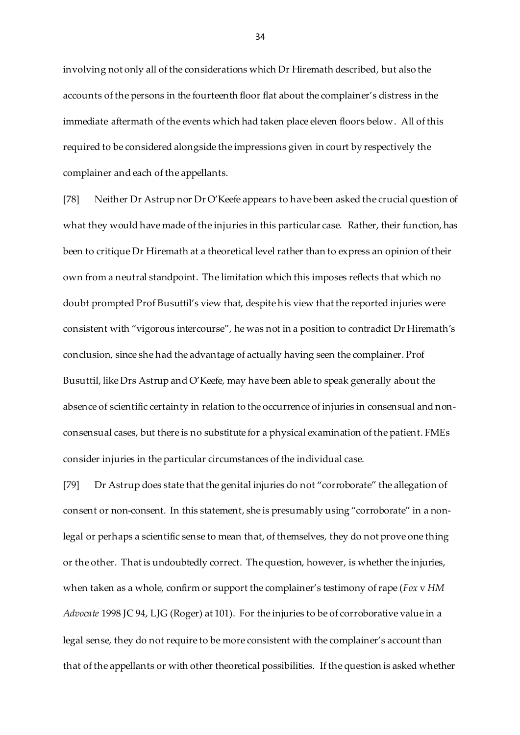involving not only all of the considerations which Dr Hiremath described, but also the accounts of the persons in the fourteenth floor flat about the complainer's distress in the immediate aftermath of the events which had taken place eleven floors below. All of this required to be considered alongside the impressions given in court by respectively the complainer and each of the appellants.

[78] Neither Dr Astrup nor Dr O'Keefe appears to have been asked the crucial question of what they would have made of the injuries in this particular case. Rather, their function, has been to critique Dr Hiremath at a theoretical level rather than to express an opinion of their own from a neutral standpoint. The limitation which this imposes reflects that which no doubt prompted Prof Busuttil's view that, despite his view that the reported injuries were consistent with "vigorous intercourse", he was not in a position to contradict Dr Hiremath's conclusion, since she had the advantage of actually having seen the complainer. Prof Busuttil, like Drs Astrup and O'Keefe, may have been able to speak generally about the absence of scientific certainty in relation to the occurrence of injuries in consensual and nonconsensual cases, but there is no substitute for a physical examination of the patient. FMEs consider injuries in the particular circumstances of the individual case.

[79] Dr Astrup does state that the genital injuries do not "corroborate" the allegation of consent or non-consent. In this statement, she is presumably using "corroborate" in a nonlegal or perhaps a scientific sense to mean that, of themselves, they do not prove one thing or the other. That is undoubtedly correct. The question, however, is whether the injuries, when taken as a whole, confirm or support the complainer's testimony of rape (*Fox* v *HM Advocate* 1998 JC 94, LJG (Roger) at 101). For the injuries to be of corroborative value in a legal sense, they do not require to be more consistent with the complainer's account than that of the appellants or with other theoretical possibilities. If the question is asked whether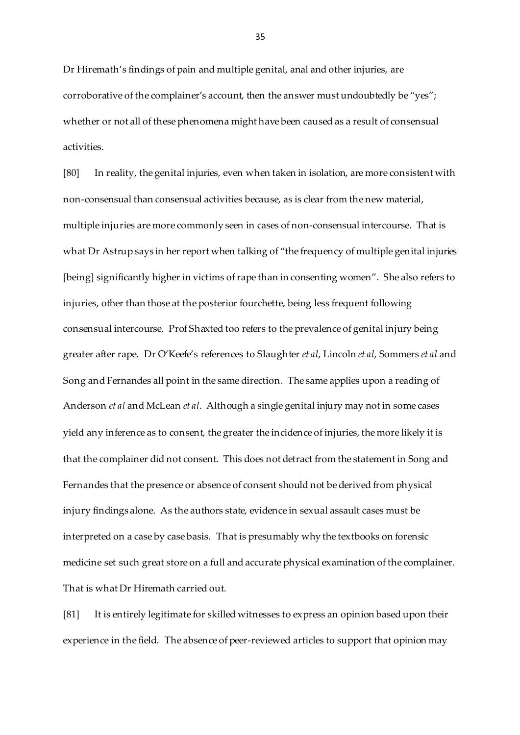Dr Hiremath's findings of pain and multiple genital, anal and other injuries, are corroborative of the complainer's account, then the answer must undoubtedly be "yes"; whether or not all of these phenomena might have been caused as a result of consensual activities.

[80] In reality, the genital injuries, even when taken in isolation, are more consistent with non-consensual than consensual activities because, as is clear from the new material, multiple injuries are more commonly seen in cases of non-consensual intercourse. That is what Dr Astrup says in her report when talking of "the frequency of multiple genital injuries [being] significantly higher in victims of rape than in consenting women". She also refers to injuries, other than those at the posterior fourchette, being less frequent following consensual intercourse. Prof Shaxted too refers to the prevalence of genital injury being greater after rape. Dr O'Keefe's references to Slaughter *et al*, Lincoln *et al*, Sommers *et al* and Song and Fernandes all point in the same direction. The same applies upon a reading of Anderson *et al* and McLean *et al*. Although a single genital injury may not in some cases yield any inference as to consent, the greater the incidence of injuries, the more likely it is that the complainer did not consent. This does not detract from the statement in Song and Fernandes that the presence or absence of consent should not be derived from physical injury findings alone. As the authors state, evidence in sexual assault cases must be interpreted on a case by case basis. That is presumably why the textbooks on forensic medicine set such great store on a full and accurate physical examination of the complainer. That is what Dr Hiremath carried out.

[81] It is entirely legitimate for skilled witnesses to express an opinion based upon their experience in the field. The absence of peer-reviewed articles to support that opinion may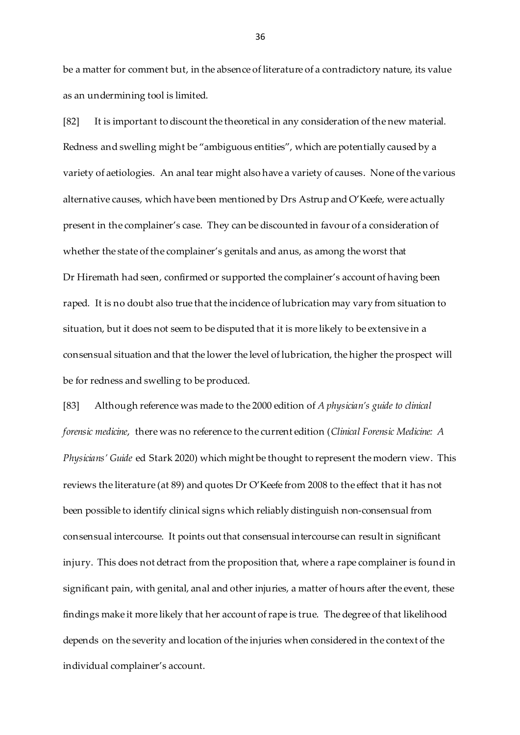be a matter for comment but, in the absence of literature of a contradictory nature, its value as an undermining tool is limited.

[82] It is important to discount the theoretical in any consideration of the new material. Redness and swelling might be "ambiguous entities", which are potentially caused by a variety of aetiologies. An anal tear might also have a variety of causes. None of the various alternative causes, which have been mentioned by Drs Astrup and O'Keefe, were actually present in the complainer's case. They can be discounted in favour of a consideration of whether the state of the complainer's genitals and anus, as among the worst that Dr Hiremath had seen, confirmed or supported the complainer's account of having been raped. It is no doubt also true that the incidence of lubrication may vary from situation to situation, but it does not seem to be disputed that it is more likely to be extensive in a consensual situation and that the lower the level of lubrication, the higher the prospect will be for redness and swelling to be produced.

[83] Although reference was made to the 2000 edition of *A physician's guide to clinical forensic medicine*, there was no reference to the current edition (*Clinical Forensic Medicine: A Physicians' Guide* ed Stark 2020) which might be thought to represent the modern view. This reviews the literature (at 89) and quotes Dr O'Keefe from 2008 to the effect that it has not been possible to identify clinical signs which reliably distinguish non-consensual from consensual intercourse. It points out that consensual intercourse can result in significant injury. This does not detract from the proposition that, where a rape complainer is found in significant pain, with genital, anal and other injuries, a matter of hours after the event, these findings make it more likely that her account of rape is true. The degree of that likelihood depends on the severity and location of the injuries when considered in the context of the individual complainer's account.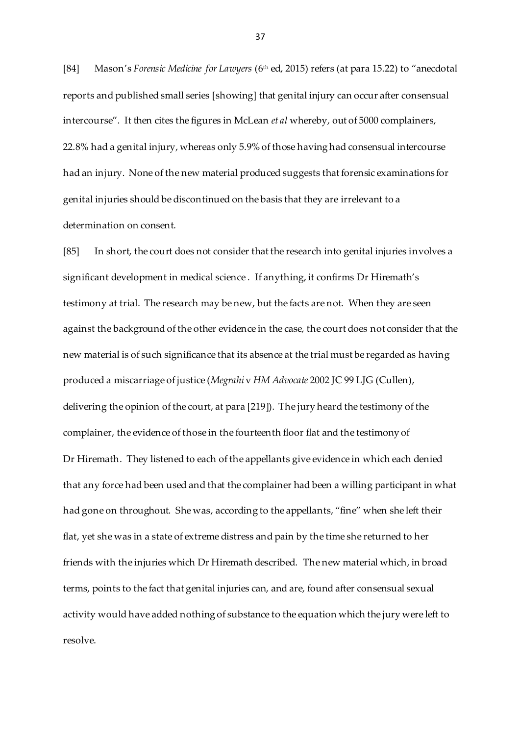[84] Mason's *Forensic Medicine for Lawyers* (6th ed, 2015) refers (at para 15.22) to "anecdotal reports and published small series [showing] that genital injury can occur after consensual intercourse". It then cites the figures in McLean *et al* whereby, out of 5000 complainers, 22.8% had a genital injury, whereas only 5.9% of those having had consensual intercourse had an injury. None of the new material produced suggests that forensic examinations for genital injuries should be discontinued on the basis that they are irrelevant to a determination on consent.

[85] In short, the court does not consider that the research into genital injuries involves a significant development in medical science . If anything, it confirms Dr Hiremath's testimony at trial. The research may be new, but the facts are not. When they are seen against the background of the other evidence in the case, the court does not consider that the new material is of such significance that its absence at the trial must be regarded as having produced a miscarriage of justice (*Megrahi* v *HM Advocate* 2002 JC 99 LJG (Cullen), delivering the opinion of the court, at para [219]). The jury heard the testimony of the complainer, the evidence of those in the fourteenth floor flat and the testimony of Dr Hiremath. They listened to each of the appellants give evidence in which each denied that any force had been used and that the complainer had been a willing participant in what had gone on throughout. She was, according to the appellants, "fine" when she left their flat, yet she was in a state of extreme distress and pain by the time she returned to her friends with the injuries which Dr Hiremath described. The new material which, in broad terms, points to the fact that genital injuries can, and are, found after consensual sexual activity would have added nothing of substance to the equation which the jury were left to resolve.